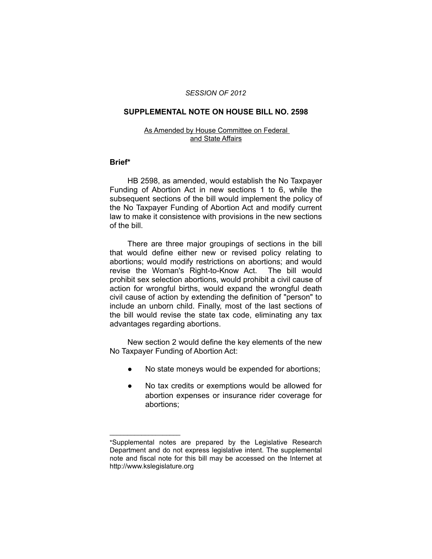## *SESSION OF 2012*

# **SUPPLEMENTAL NOTE ON HOUSE BILL NO. 2598**

#### As Amended by House Committee on Federal and State Affairs

## **Brief\***

HB 2598, as amended, would establish the No Taxpayer Funding of Abortion Act in new sections 1 to 6, while the subsequent sections of the bill would implement the policy of the No Taxpayer Funding of Abortion Act and modify current law to make it consistence with provisions in the new sections of the bill.

There are three major groupings of sections in the bill that would define either new or revised policy relating to abortions; would modify restrictions on abortions; and would revise the Woman's Right-to-Know Act. The bill would prohibit sex selection abortions, would prohibit a civil cause of action for wrongful births, would expand the wrongful death civil cause of action by extending the definition of "person" to include an unborn child. Finally, most of the last sections of the bill would revise the state tax code, eliminating any tax advantages regarding abortions.

New section 2 would define the key elements of the new No Taxpayer Funding of Abortion Act:

- No state moneys would be expended for abortions;
- No tax credits or exemptions would be allowed for abortion expenses or insurance rider coverage for abortions;

 $\overline{\phantom{a}}$  , where  $\overline{\phantom{a}}$  , where  $\overline{\phantom{a}}$ 

<sup>\*</sup>Supplemental notes are prepared by the Legislative Research Department and do not express legislative intent. The supplemental note and fiscal note for this bill may be accessed on the Internet at http://www.kslegislature.org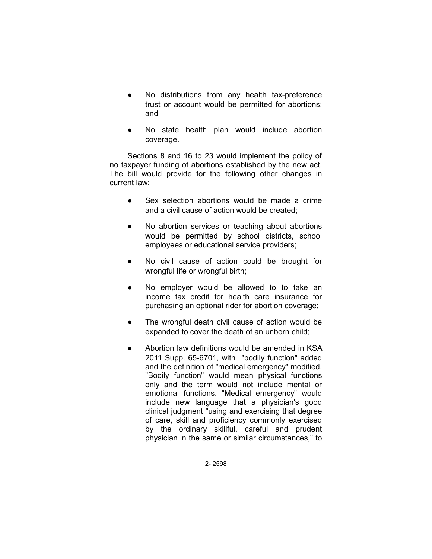- No distributions from any health tax-preference trust or account would be permitted for abortions; and
- No state health plan would include abortion coverage.

Sections 8 and 16 to 23 would implement the policy of no taxpayer funding of abortions established by the new act. The bill would provide for the following other changes in current law:

- Sex selection abortions would be made a crime and a civil cause of action would be created;
- No abortion services or teaching about abortions would be permitted by school districts, school employees or educational service providers;
- No civil cause of action could be brought for wrongful life or wrongful birth;
- No employer would be allowed to to take an income tax credit for health care insurance for purchasing an optional rider for abortion coverage;
- The wrongful death civil cause of action would be expanded to cover the death of an unborn child;
- Abortion law definitions would be amended in KSA 2011 Supp. 65-6701, with "bodily function" added and the definition of "medical emergency" modified. "Bodily function" would mean physical functions only and the term would not include mental or emotional functions. "Medical emergency" would include new language that a physician's good clinical judgment "using and exercising that degree of care, skill and proficiency commonly exercised by the ordinary skillful, careful and prudent physician in the same or similar circumstances," to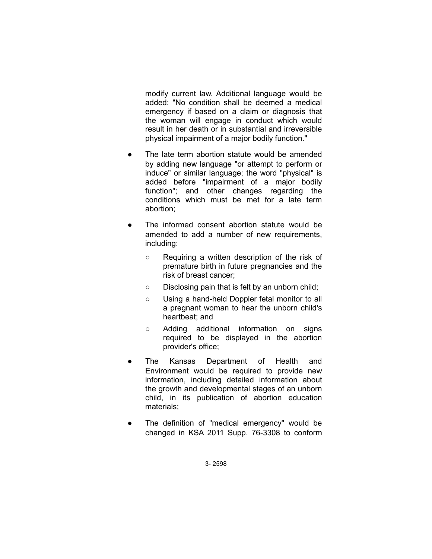modify current law. Additional language would be added: "No condition shall be deemed a medical emergency if based on a claim or diagnosis that the woman will engage in conduct which would result in her death or in substantial and irreversible physical impairment of a major bodily function."

- The late term abortion statute would be amended by adding new language "or attempt to perform or induce" or similar language; the word "physical" is added before "impairment of a major bodily function"; and other changes regarding the conditions which must be met for a late term abortion;
- The informed consent abortion statute would be amended to add a number of new requirements, including:
	- Requiring a written description of the risk of premature birth in future pregnancies and the risk of breast cancer;
	- Disclosing pain that is felt by an unborn child;
	- Using a hand-held Doppler fetal monitor to all a pregnant woman to hear the unborn child's heartbeat; and
	- Adding additional information on signs required to be displayed in the abortion provider's office;
- The Kansas Department of Health and Environment would be required to provide new information, including detailed information about the growth and developmental stages of an unborn child, in its publication of abortion education materials;
- The definition of "medical emergency" would be changed in KSA 2011 Supp. 76-3308 to conform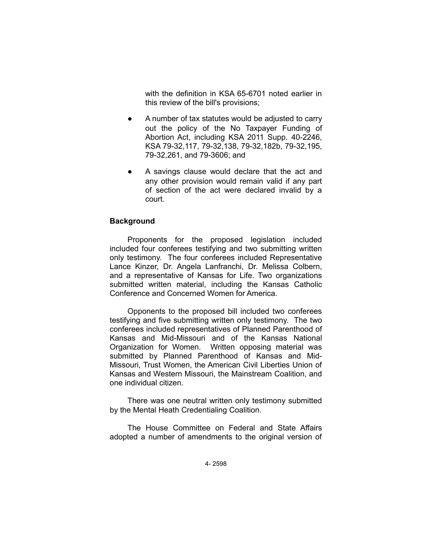with the definition in KSA 65-6701 noted earlier in this review of the bill's provisions;

- A number of tax statutes would be adjusted to carry out the policy of the No Taxpayer Funding of Abortion Act, including KSA 2011 Supp. 40-2246, KSA 79-32,117, 79-32,138, 79-32,182b, 79-32,195, 79-32,261, and 79-3606; and
- A savings clause would declare that the act and any other provision would remain valid if any part of section of the act were declared invalid by a court.

# **Background**

Proponents for the proposed legislation included included four conferees testifying and two submitting written only testimony. The four conferees included Representative Lance Kinzer, Dr. Angela Lanfranchi, Dr. Melissa Colbern, and a representative of Kansas for Life. Two organizations submitted written material, including the Kansas Catholic Conference and Concerned Women for America.

Opponents to the proposed bill included two conferees testifying and five submitting written only testimony. The two conferees included representatives of Planned Parenthood of Kansas and Mid-Missouri and of the Kansas National Organization for Women. Written opposing material was submitted by Planned Parenthood of Kansas and Mid-Missouri, Trust Women, the American Civil Liberties Union of Kansas and Western Missouri, the Mainstream Coalition, and one individual citizen.

There was one neutral written only testimony submitted by the Mental Heath Credentialing Coalition.

The House Committee on Federal and State Affairs adopted a number of amendments to the original version of